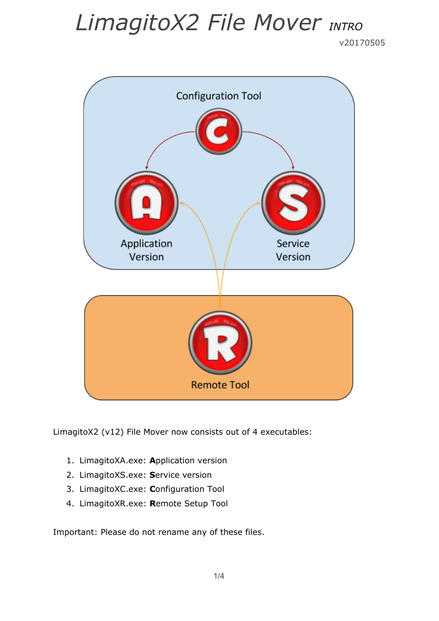v20170505



LimagitoX2 (v12) File Mover now consists out of 4 executables:

- 1. LimagitoXA.exe: **A**pplication version
- 2. LimagitoXS.exe: **S**ervice version
- 3. LimagitoXC.exe: **C**onfiguration Tool
- 4. LimagitoXR.exe: **R**emote Setup Tool

Important: Please do not rename any of these files.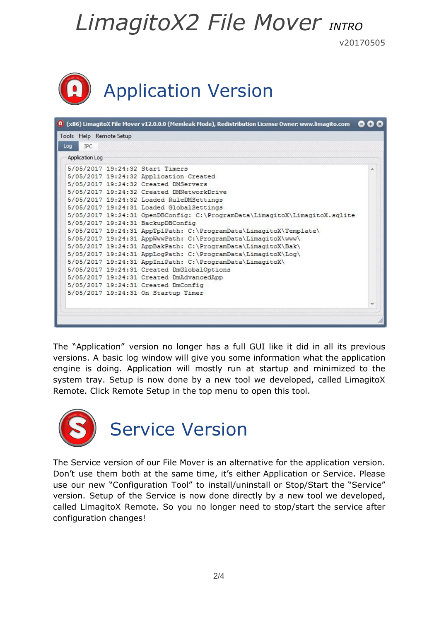v20170505

|  | Application Version |  |
|--|---------------------|--|
|--|---------------------|--|

| <b>IPC</b><br>Loa      |                                                                            |  |
|------------------------|----------------------------------------------------------------------------|--|
| <b>Application Log</b> |                                                                            |  |
|                        | 5/05/2017 19:24:32 Start Timers                                            |  |
|                        | 5/05/2017 19:24:32 Application Created                                     |  |
|                        | 5/05/2017 19:24:32 Created DMServers                                       |  |
|                        | 5/05/2017 19:24:32 Created DMNetworkDrive                                  |  |
|                        | 5/05/2017 19:24:32 Loaded RuleDMSettings                                   |  |
|                        | 5/05/2017 19:24:31 Loaded GlobalSettings                                   |  |
|                        | 5/05/2017 19:24:31 OpenDBConfiq: C:\ProgramData\LimagitoX\LimagitoX.sqlite |  |
|                        | 5/05/2017 19:24:31 BackupDBConfig                                          |  |
|                        | 5/05/2017 19:24:31 AppTplPath: C:\ProgramData\LimagitoX\Template\          |  |
|                        | 5/05/2017 19:24:31 AppWwwPath: C:\ProgramData\LimagitoX\www\               |  |
|                        | 5/05/2017 19:24:31 AppBakPath: C:\ProgramData\LimagitoX\Bak\               |  |
|                        | 5/05/2017 19:24:31 AppLogPath: C:\ProgramData\LimagitoX\Log\               |  |
|                        | 5/05/2017 19:24:31 AppIniPath: C:\ProgramData\LimagitoX\                   |  |
|                        | 5/05/2017 19:24:31 Created DmGlobalOptions                                 |  |
|                        | 5/05/2017 19:24:31 Created DmAdvancedApp                                   |  |
|                        | 5/05/2017 19:24:31 Created DmConfig                                        |  |
|                        | 5/05/2017 19:24:31 On Startup Timer                                        |  |
|                        |                                                                            |  |

The "Application" version no longer has a full GUI like it did in all its previous versions. A basic log window will give you some information what the application engine is doing. Application will mostly run at startup and minimized to the system tray. Setup is now done by a new tool we developed, called LimagitoX Remote. Click Remote Setup in the top menu to open this tool.



The Service version of our File Mover is an alternative for the application version. Don't use them both at the same time, it's either Application or Service. Please use our new "Configuration Tool" to install/uninstall or Stop/Start the "Service" version. Setup of the Service is now done directly by a new tool we developed, called LimagitoX Remote. So you no longer need to stop/start the service after configuration changes!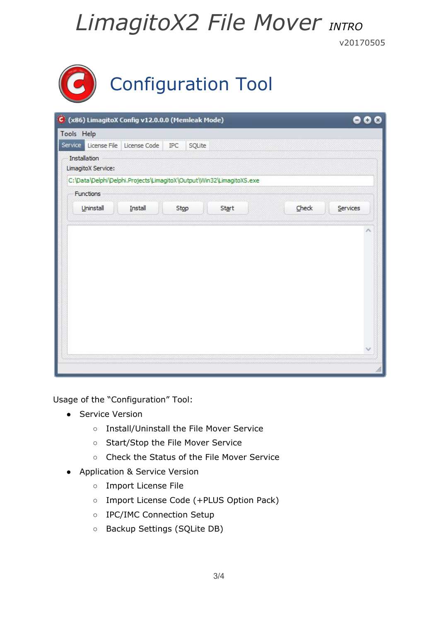v20170505

| <b>Configuration Tool</b> |  |
|---------------------------|--|
|                           |  |

|                                                                      |  |                                   |                    | Tools Help   |
|----------------------------------------------------------------------|--|-----------------------------------|--------------------|--------------|
| SQLite<br>IPC                                                        |  | Service License File License Code |                    |              |
|                                                                      |  |                                   | LimagitoX Service: | Installation |
| C:\Data\Delphi\Delphi.Projects\LimagitoX\Output\Win32\LimagitoXS.exe |  |                                   |                    |              |
|                                                                      |  |                                   | Functions          |              |
| Check<br>Start<br>Services<br>Stop                                   |  | Install                           | Uninstall          |              |
|                                                                      |  |                                   |                    |              |
|                                                                      |  |                                   |                    |              |
|                                                                      |  |                                   |                    |              |

Usage of the "Configuration" Tool:

- Service Version
	- Install/Uninstall the File Mover Service
	- Start/Stop the File Mover Service
	- Check the Status of the File Mover Service
- Application & Service Version
	- Import License File
	- Import License Code (+PLUS Option Pack)
	- IPC/IMC Connection Setup
	- Backup Settings (SQLite DB)